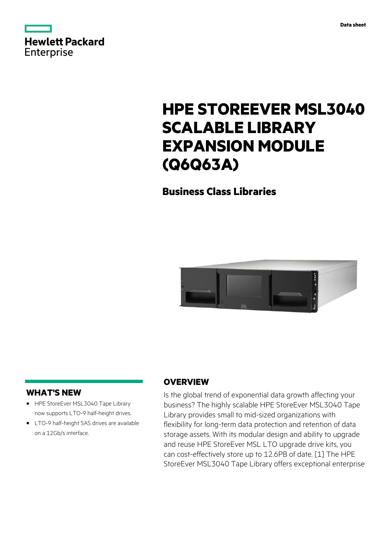

|            | <b>Hewlett Packard</b> |
|------------|------------------------|
| Enterprise |                        |

# **HPE STOREEVER MSL3040 SCALABLE LIBRARY EXPANSION MODULE (Q6Q63A)**

# **Business Class Libraries**



# **WHAT'S NEW**

- **·** HPE StoreEver MSL3040 Tape Library now supports LTO-9 half-height drives.
- **·** LTO-9 half-height SAS drives are available on a 12Gb/s interface.

# **OVERVIEW**

Is the global trend of exponential data growth affecting your business? The highly scalable HPE StoreEver MSL3040 Tape Library provides small to mid-sized organizations with flexibility for long-term data protection and retention of data storage assets. With its modular design and ability to upgrade and reuse HPE StoreEver MSL LTO upgrade drive kits, you can cost-effectively store up to 12.6PB of date. [1] The HPE StoreEver MSL3040 Tape Library offers exceptional enterprise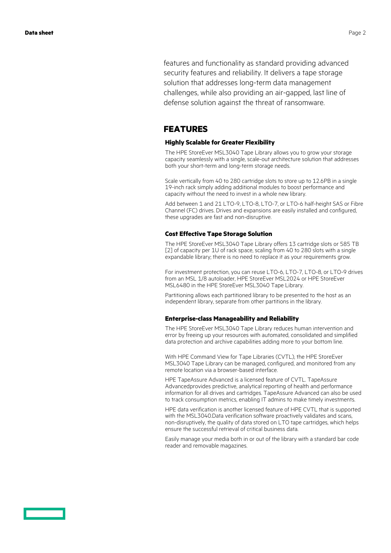features and functionality as standard providing advanced security features and reliability. It delivers a tape storage solution that addresses long-term data management challenges, while also providing an air-gapped, last line of defense solution against the threat of ransomware.

## **FEATURES**

#### **Highly Scalable for Greater Flexibility**

The HPE StoreEver MSL3040 Tape Library allows you to grow your storage capacity seamlessly with a single, scale-out architecture solution that addresses both your short-term and long-term storage needs.

Scale vertically from 40 to 280 cartridge slots to store up to 12.6PB in a single 19-inch rack simply adding additional modules to boost performance and capacity without the need to invest in a whole new library.

Add between 1 and 21 LTO-9, LTO-8, LTO-7, or LTO-6 half-height SAS or Fibre Channel (FC) drives. Drives and expansions are easily installed and configured, these upgrades are fast and non-disruptive.

#### **Cost Effective Tape Storage Solution**

The HPE StoreEver MSL3040 Tape Library offers 13 cartridge slots or 585 TB [2] of capacity per 1U of rack space, scaling from 40 to 280 slots with a single expandable library; there is no need to replace it as your requirements grow.

For investment protection, you can reuse LTO-6, LTO-7, LTO-8, or LTO-9 drives from an MSL 1/8 autoloader, HPE StoreEver MSL2024 or HPE StoreEver MSL6480 in the HPE StoreEver MSL3040 Tape Library.

Partitioning allows each partitioned library to be presented to the host as an independent library, separate from other partitions in the library.

#### **Enterprise-class Manageability and Reliability**

The HPE StoreEver MSL3040 Tape Library reduces human intervention and error by freeing up your resources with automated, consolidated and simplified data protection and archive capabilities adding more to your bottom line.

With HPE Command View for Tape Libraries (CVTL), the HPE StoreEver MSL3040 Tape Library can be managed, configured, and monitored from any remote location via a browser-based interface.

HPE TapeAssure Advanced is a licensed feature of CVTL. TapeAssure Advancedprovides predictive, analytical reporting of health and performance information for all drives and cartridges. TapeAssure Advanced can also be used to track consumption metrics, enabling IT admins to make timely investments.

HPE data verification is another licensed feature of HPE CVTL that is supported with the MSL3040.Data verification software proactively validates and scans, non-disruptively, the quality of data stored on LTO tape cartridges, which helps ensure the successful retrieval of critical business data.

Easily manage your media both in or out of the library with a standard bar code reader and removable magazines.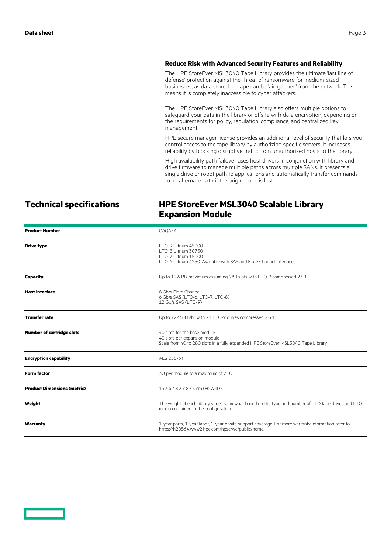#### **Reduce Risk with Advanced Security Features and Reliability**

The HPE StoreEver MSL3040 Tape Library provides the ultimate 'last line of defense' protection against the threat of ransomware for medium-sized businesses, as data stored on tape can be 'air-gapped' from the network. This means it is completely inaccessible to cyber attackers.

The HPE StoreEver MSL3040 Tape Library also offers multiple options to safeguard your data in the library or offsite with data encryption, depending on the requirements for policy, regulation, compliance, and centralized key management.

HPE secure manager license provides an additional level of security that lets you control access to the tape library by authorizing specific servers. It increases reliability by blocking disruptive traffic from unauthorized hosts to the library.

High availability path failover uses host drivers in conjunction with library and drive firmware to manage multiple paths across multiple SANs. It presents a single drive or robot path to applications and automatically transfer commands to an alternate path if the original one is lost.

# **Technical specifications HPE StoreEver MSL3040 Scalable Library Expansion Module**

| <b>Product Number</b>              | Q6Q63A                                                                                                                                                 |
|------------------------------------|--------------------------------------------------------------------------------------------------------------------------------------------------------|
| <b>Drive type</b>                  | LTO-9 Ultrium 45000<br>LTO-8 Ultrium 30750<br>LTO-7 Ultrium 15000<br>LTO-6 Ultrium 6250. Available with SAS and Fibre Channel interfaces               |
| Capacity                           | Up to 12.6 PB, maximum assuming 280 slots with LTO-9 compressed 2.5:1                                                                                  |
| <b>Host interface</b>              | 8 Gb/s Fibre Channel<br>6 Gb/s SAS (LTO-6, LTO-7, LTO-8)<br>12 Gb/s SAS (LTO-9)                                                                        |
| <b>Transfer rate</b>               | Up to 72.45 TB/hr with 21 LTO-9 drives compressed 2.5:1                                                                                                |
| <b>Number of cartridge slots</b>   | 40 slots for the base module<br>40 slots per expansion module<br>Scale from 40 to 280 slots in a fully expanded HPE StoreEver MSL3040 Tape Library     |
| <b>Encryption capability</b>       | <b>AES 256-bit</b>                                                                                                                                     |
| <b>Form factor</b>                 | 3U per module to a maximum of 21U                                                                                                                      |
| <b>Product Dimensions (metric)</b> | 13.3 x 48.2 x 87.3 cm (HxWxD)                                                                                                                          |
| Weight                             | The weight of each library varies somewhat based on the type and number of LTO tape drives and LTO<br>media contained in the configuration             |
| Warranty                           | 1-year parts, 1-year labor, 1-year onsite support coverage. For more warranty information refer to<br>https://h20564.www2.hpe.com/hpsc/wc/public/home. |